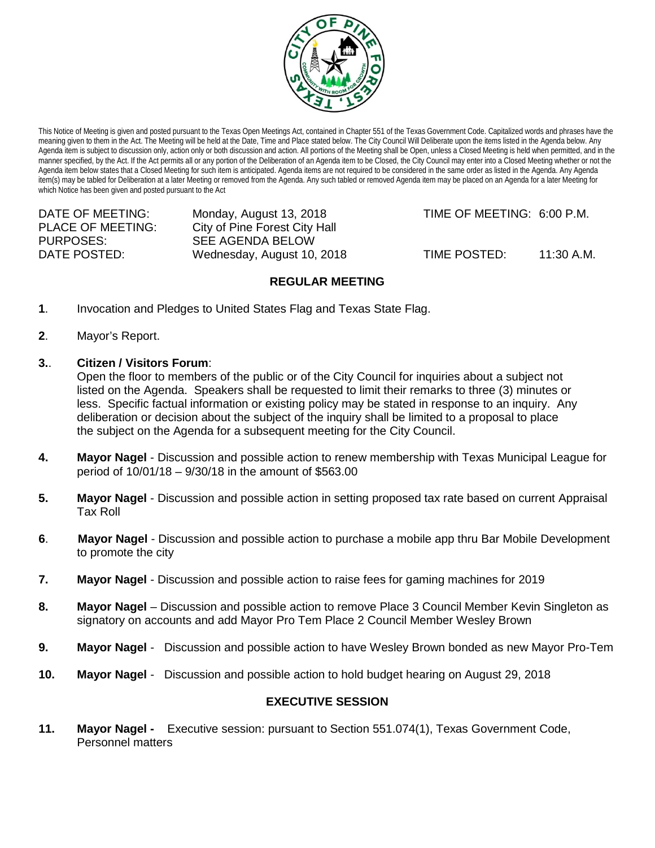

This Notice of Meeting is given and posted pursuant to the Texas Open Meetings Act, contained in Chapter 551 of the Texas Government Code. Capitalized words and phrases have the meaning given to them in the Act. The Meeting will be held at the Date, Time and Place stated below. The City Council Will Deliberate upon the items listed in the Agenda below. Any Agenda item is subject to discussion only, action only or both discussion and action. All portions of the Meeting shall be Open, unless a Closed Meeting is held when permitted, and in the manner specified, by the Act. If the Act permits all or any portion of the Deliberation of an Agenda item to be Closed, the City Council may enter into a Closed Meeting whether or not the Agenda item below states that a Closed Meeting for such item is anticipated. Agenda items are not required to be considered in the same order as listed in the Agenda. Any Agenda item(s) may be tabled for Deliberation at a later Meeting or removed from the Agenda. Any such tabled or removed Agenda item may be placed on an Agenda for a later Meeting for which Notice has been given and posted pursuant to the Act

| DATE OF MEETING:         | Monday, August 13, 2018       | TIME OF MEETING: 6:00 P.M. |            |
|--------------------------|-------------------------------|----------------------------|------------|
| <b>PLACE OF MEETING:</b> | City of Pine Forest City Hall |                            |            |
| PURPOSES:                | SEE AGENDA BELOW              |                            |            |
| DATE POSTED:             | Wednesday, August 10, 2018    | TIME POSTED:               | 11:30 A.M. |

# **REGULAR MEETING**

- **1**. Invocation and Pledges to United States Flag and Texas State Flag.
- **2**. Mayor's Report.
- **3.**. **Citizen / Visitors Forum**:

Open the floor to members of the public or of the City Council for inquiries about a subject not listed on the Agenda. Speakers shall be requested to limit their remarks to three (3) minutes or less. Specific factual information or existing policy may be stated in response to an inquiry. Any deliberation or decision about the subject of the inquiry shall be limited to a proposal to place the subject on the Agenda for a subsequent meeting for the City Council.

- **4. Mayor Nagel** Discussion and possible action to renew membership with Texas Municipal League for period of 10/01/18 – 9/30/18 in the amount of \$563.00
- **5. Mayor Nagel** Discussion and possible action in setting proposed tax rate based on current Appraisal Tax Roll
- **6**. **Mayor Nagel** Discussion and possible action to purchase a mobile app thru Bar Mobile Development to promote the city
- **7. Mayor Nagel** Discussion and possible action to raise fees for gaming machines for 2019
- **8. Mayor Nagel** Discussion and possible action to remove Place 3 Council Member Kevin Singleton as signatory on accounts and add Mayor Pro Tem Place 2 Council Member Wesley Brown
- **9. Mayor Nagel** Discussion and possible action to have Wesley Brown bonded as new Mayor Pro-Tem
- **10. Mayor Nagel** Discussion and possible action to hold budget hearing on August 29, 2018

# **EXECUTIVE SESSION**

**11. Mayor Nagel -** Executive session: pursuant to Section 551.074(1), Texas Government Code, Personnel matters